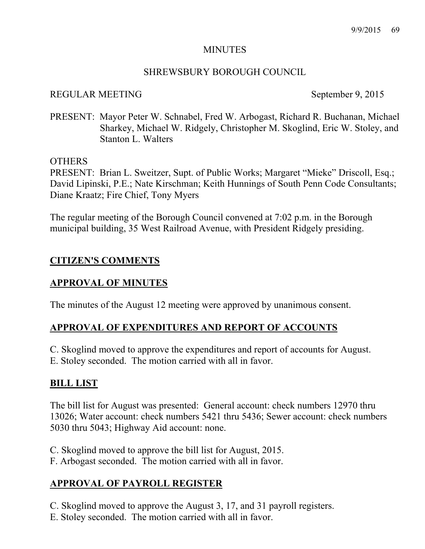#### MINUTES

#### SHREWSBURY BOROUGH COUNCIL

#### REGULAR MEETING September 9, 2015

PRESENT: Mayor Peter W. Schnabel, Fred W. Arbogast, Richard R. Buchanan, Michael Sharkey, Michael W. Ridgely, Christopher M. Skoglind, Eric W. Stoley, and Stanton L. Walters

OTHERS

PRESENT: Brian L. Sweitzer, Supt. of Public Works; Margaret "Mieke" Driscoll, Esq.; David Lipinski, P.E.; Nate Kirschman; Keith Hunnings of South Penn Code Consultants; Diane Kraatz; Fire Chief, Tony Myers

The regular meeting of the Borough Council convened at 7:02 p.m. in the Borough municipal building, 35 West Railroad Avenue, with President Ridgely presiding.

## **CITIZEN'S COMMENTS**

### **APPROVAL OF MINUTES**

The minutes of the August 12 meeting were approved by unanimous consent.

# **APPROVAL OF EXPENDITURES AND REPORT OF ACCOUNTS**

C. Skoglind moved to approve the expenditures and report of accounts for August. E. Stoley seconded. The motion carried with all in favor.

### **BILL LIST**

The bill list for August was presented: General account: check numbers 12970 thru 13026; Water account: check numbers 5421 thru 5436; Sewer account: check numbers 5030 thru 5043; Highway Aid account: none.

C. Skoglind moved to approve the bill list for August, 2015.

F. Arbogast seconded. The motion carried with all in favor.

# **APPROVAL OF PAYROLL REGISTER**

C. Skoglind moved to approve the August 3, 17, and 31 payroll registers.

E. Stoley seconded. The motion carried with all in favor.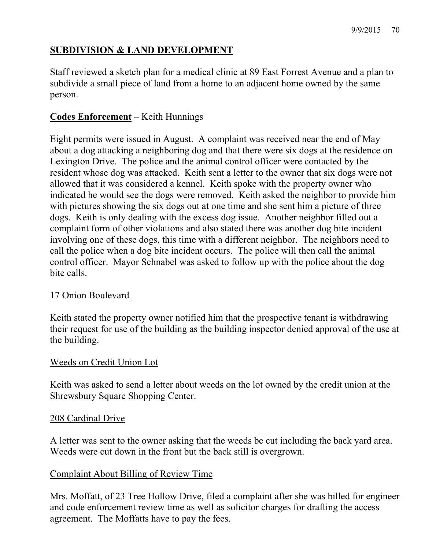# **SUBDIVISION & LAND DEVELOPMENT**

Staff reviewed a sketch plan for a medical clinic at 89 East Forrest Avenue and a plan to subdivide a small piece of land from a home to an adjacent home owned by the same person.

# **Codes Enforcement** – Keith Hunnings

Eight permits were issued in August. A complaint was received near the end of May about a dog attacking a neighboring dog and that there were six dogs at the residence on Lexington Drive. The police and the animal control officer were contacted by the resident whose dog was attacked. Keith sent a letter to the owner that six dogs were not allowed that it was considered a kennel. Keith spoke with the property owner who indicated he would see the dogs were removed. Keith asked the neighbor to provide him with pictures showing the six dogs out at one time and she sent him a picture of three dogs. Keith is only dealing with the excess dog issue. Another neighbor filled out a complaint form of other violations and also stated there was another dog bite incident involving one of these dogs, this time with a different neighbor. The neighbors need to call the police when a dog bite incident occurs. The police will then call the animal control officer. Mayor Schnabel was asked to follow up with the police about the dog bite calls.

# 17 Onion Boulevard

Keith stated the property owner notified him that the prospective tenant is withdrawing their request for use of the building as the building inspector denied approval of the use at the building.

### Weeds on Credit Union Lot

Keith was asked to send a letter about weeds on the lot owned by the credit union at the Shrewsbury Square Shopping Center.

#### 208 Cardinal Drive

A letter was sent to the owner asking that the weeds be cut including the back yard area. Weeds were cut down in the front but the back still is overgrown.

## Complaint About Billing of Review Time

Mrs. Moffatt, of 23 Tree Hollow Drive, filed a complaint after she was billed for engineer and code enforcement review time as well as solicitor charges for drafting the access agreement. The Moffatts have to pay the fees.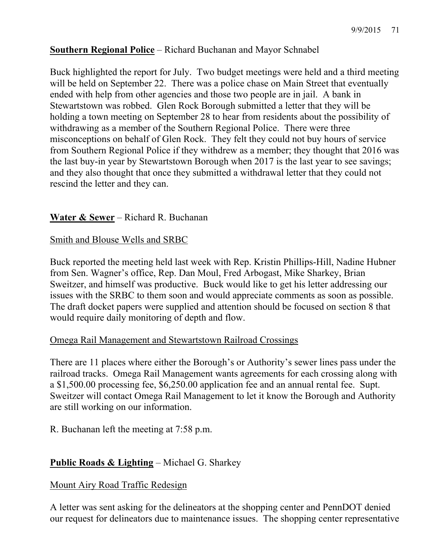# **Southern Regional Police** – Richard Buchanan and Mayor Schnabel

Buck highlighted the report for July. Two budget meetings were held and a third meeting will be held on September 22. There was a police chase on Main Street that eventually ended with help from other agencies and those two people are in jail. A bank in Stewartstown was robbed. Glen Rock Borough submitted a letter that they will be holding a town meeting on September 28 to hear from residents about the possibility of withdrawing as a member of the Southern Regional Police. There were three misconceptions on behalf of Glen Rock. They felt they could not buy hours of service from Southern Regional Police if they withdrew as a member; they thought that 2016 was the last buy-in year by Stewartstown Borough when 2017 is the last year to see savings; and they also thought that once they submitted a withdrawal letter that they could not rescind the letter and they can.

## **Water & Sewer** – Richard R. Buchanan

## Smith and Blouse Wells and SRBC

Buck reported the meeting held last week with Rep. Kristin Phillips-Hill, Nadine Hubner from Sen. Wagner's office, Rep. Dan Moul, Fred Arbogast, Mike Sharkey, Brian Sweitzer, and himself was productive. Buck would like to get his letter addressing our issues with the SRBC to them soon and would appreciate comments as soon as possible. The draft docket papers were supplied and attention should be focused on section 8 that would require daily monitoring of depth and flow.

### Omega Rail Management and Stewartstown Railroad Crossings

There are 11 places where either the Borough's or Authority's sewer lines pass under the railroad tracks. Omega Rail Management wants agreements for each crossing along with a \$1,500.00 processing fee, \$6,250.00 application fee and an annual rental fee. Supt. Sweitzer will contact Omega Rail Management to let it know the Borough and Authority are still working on our information.

R. Buchanan left the meeting at 7:58 p.m.

# **Public Roads & Lighting** – Michael G. Sharkey

### Mount Airy Road Traffic Redesign

A letter was sent asking for the delineators at the shopping center and PennDOT denied our request for delineators due to maintenance issues. The shopping center representative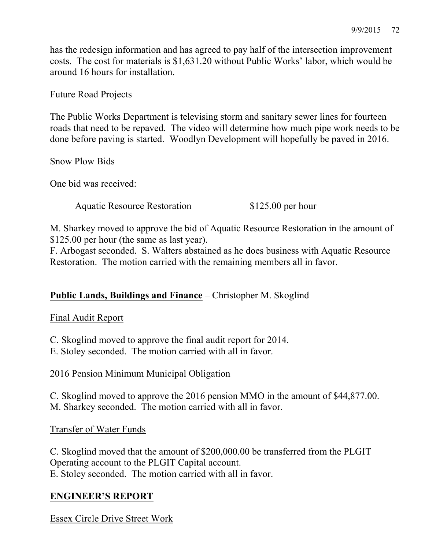has the redesign information and has agreed to pay half of the intersection improvement costs. The cost for materials is \$1,631.20 without Public Works' labor, which would be around 16 hours for installation.

## Future Road Projects

The Public Works Department is televising storm and sanitary sewer lines for fourteen roads that need to be repaved. The video will determine how much pipe work needs to be done before paving is started. Woodlyn Development will hopefully be paved in 2016.

Snow Plow Bids

One bid was received:

Aquatic Resource Restoration \$125.00 per hour

M. Sharkey moved to approve the bid of Aquatic Resource Restoration in the amount of \$125.00 per hour (the same as last year).

F. Arbogast seconded. S. Walters abstained as he does business with Aquatic Resource Restoration. The motion carried with the remaining members all in favor.

# **Public Lands, Buildings and Finance** – Christopher M. Skoglind

Final Audit Report

C. Skoglind moved to approve the final audit report for 2014.

E. Stoley seconded. The motion carried with all in favor.

### 2016 Pension Minimum Municipal Obligation

C. Skoglind moved to approve the 2016 pension MMO in the amount of \$44,877.00. M. Sharkey seconded. The motion carried with all in favor.

Transfer of Water Funds

C. Skoglind moved that the amount of \$200,000.00 be transferred from the PLGIT Operating account to the PLGIT Capital account. E. Stoley seconded. The motion carried with all in favor.

# **ENGINEER'S REPORT**

Essex Circle Drive Street Work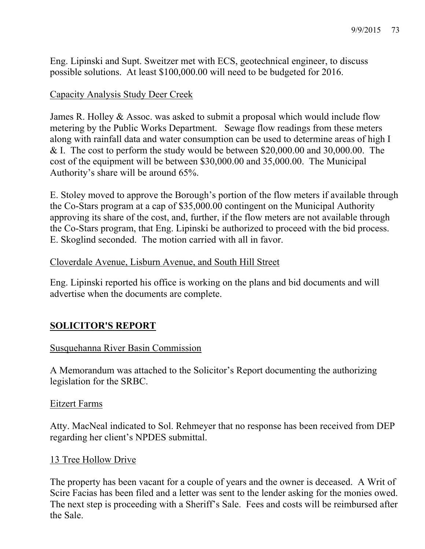Eng. Lipinski and Supt. Sweitzer met with ECS, geotechnical engineer, to discuss possible solutions. At least \$100,000.00 will need to be budgeted for 2016.

## Capacity Analysis Study Deer Creek

James R. Holley & Assoc. was asked to submit a proposal which would include flow metering by the Public Works Department. Sewage flow readings from these meters along with rainfall data and water consumption can be used to determine areas of high I & I. The cost to perform the study would be between \$20,000.00 and 30,000.00. The cost of the equipment will be between \$30,000.00 and 35,000.00. The Municipal Authority's share will be around 65%.

E. Stoley moved to approve the Borough's portion of the flow meters if available through the Co-Stars program at a cap of \$35,000.00 contingent on the Municipal Authority approving its share of the cost, and, further, if the flow meters are not available through the Co-Stars program, that Eng. Lipinski be authorized to proceed with the bid process. E. Skoglind seconded. The motion carried with all in favor.

## Cloverdale Avenue, Lisburn Avenue, and South Hill Street

Eng. Lipinski reported his office is working on the plans and bid documents and will advertise when the documents are complete.

# **SOLICITOR'S REPORT**

# Susquehanna River Basin Commission

A Memorandum was attached to the Solicitor's Report documenting the authorizing legislation for the SRBC.

### Eitzert Farms

Atty. MacNeal indicated to Sol. Rehmeyer that no response has been received from DEP regarding her client's NPDES submittal.

### 13 Tree Hollow Drive

The property has been vacant for a couple of years and the owner is deceased. A Writ of Scire Facias has been filed and a letter was sent to the lender asking for the monies owed. The next step is proceeding with a Sheriff's Sale. Fees and costs will be reimbursed after the Sale.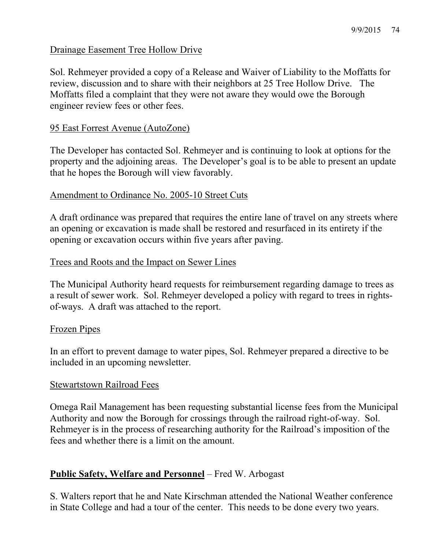## Drainage Easement Tree Hollow Drive

Sol. Rehmeyer provided a copy of a Release and Waiver of Liability to the Moffatts for review, discussion and to share with their neighbors at 25 Tree Hollow Drive. The Moffatts filed a complaint that they were not aware they would owe the Borough engineer review fees or other fees.

## 95 East Forrest Avenue (AutoZone)

The Developer has contacted Sol. Rehmeyer and is continuing to look at options for the property and the adjoining areas. The Developer's goal is to be able to present an update that he hopes the Borough will view favorably.

### Amendment to Ordinance No. 2005-10 Street Cuts

A draft ordinance was prepared that requires the entire lane of travel on any streets where an opening or excavation is made shall be restored and resurfaced in its entirety if the opening or excavation occurs within five years after paving.

## Trees and Roots and the Impact on Sewer Lines

The Municipal Authority heard requests for reimbursement regarding damage to trees as a result of sewer work. Sol. Rehmeyer developed a policy with regard to trees in rightsof-ways. A draft was attached to the report.

### Frozen Pipes

In an effort to prevent damage to water pipes, Sol. Rehmeyer prepared a directive to be included in an upcoming newsletter.

### Stewartstown Railroad Fees

Omega Rail Management has been requesting substantial license fees from the Municipal Authority and now the Borough for crossings through the railroad right-of-way. Sol. Rehmeyer is in the process of researching authority for the Railroad's imposition of the fees and whether there is a limit on the amount.

# **Public Safety, Welfare and Personnel** – Fred W. Arbogast

S. Walters report that he and Nate Kirschman attended the National Weather conference in State College and had a tour of the center. This needs to be done every two years.